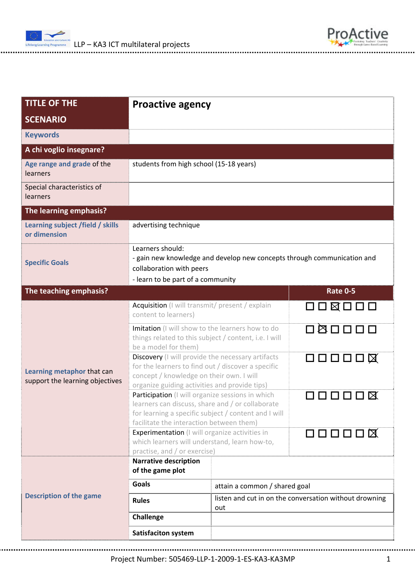

| <b>TITLE OF THE</b>                                           | <b>Proactive agency</b>                                                                                                                                                                                  |                                                               |                 |  |  |
|---------------------------------------------------------------|----------------------------------------------------------------------------------------------------------------------------------------------------------------------------------------------------------|---------------------------------------------------------------|-----------------|--|--|
| <b>SCENARIO</b>                                               |                                                                                                                                                                                                          |                                                               |                 |  |  |
| <b>Keywords</b>                                               |                                                                                                                                                                                                          |                                                               |                 |  |  |
| A chi voglio insegnare?                                       |                                                                                                                                                                                                          |                                                               |                 |  |  |
| Age range and grade of the<br>learners                        |                                                                                                                                                                                                          | students from high school (15-18 years)                       |                 |  |  |
| Special characteristics of<br>learners                        |                                                                                                                                                                                                          |                                                               |                 |  |  |
| The learning emphasis?                                        |                                                                                                                                                                                                          |                                                               |                 |  |  |
| Learning subject /field / skills<br>or dimension              | advertising technique                                                                                                                                                                                    |                                                               |                 |  |  |
| <b>Specific Goals</b>                                         | Learners should:<br>- gain new knowledge and develop new concepts through communication and<br>collaboration with peers                                                                                  |                                                               |                 |  |  |
|                                                               | - learn to be part of a community                                                                                                                                                                        |                                                               |                 |  |  |
| The teaching emphasis?                                        |                                                                                                                                                                                                          |                                                               | <b>Rate 0-5</b> |  |  |
| Learning metaphor that can<br>support the learning objectives | Acquisition (I will transmit/ present / explain<br>content to learners)                                                                                                                                  |                                                               | 口口区口口口          |  |  |
|                                                               | Imitation (I will show to the learners how to do<br>things related to this subject / content, i.e. I will<br>be a model for them)                                                                        |                                                               |                 |  |  |
|                                                               | Discovery (I will provide the necessary artifacts<br>for the learners to find out / discover a specific<br>concept / knowledge on their own. I will<br>organize guiding activities and provide tips)     |                                                               | $\Box$          |  |  |
|                                                               | Participation (I will organize sessions in which<br>learners can discuss, share and / or collaborate<br>for learning a specific subject / content and I will<br>facilitate the interaction between them) |                                                               | 00000           |  |  |
|                                                               | Experimentation (I will organize activities in<br>which learners will understand, learn how-to,                                                                                                          |                                                               | $\Box$          |  |  |
|                                                               | practise, and / or exercise)<br><b>Narrative description</b>                                                                                                                                             |                                                               |                 |  |  |
| <b>Description of the game</b>                                | of the game plot                                                                                                                                                                                         |                                                               |                 |  |  |
|                                                               | <b>Goals</b>                                                                                                                                                                                             | attain a common / shared goal                                 |                 |  |  |
|                                                               | <b>Rules</b>                                                                                                                                                                                             | listen and cut in on the conversation without drowning<br>out |                 |  |  |
|                                                               | Challenge                                                                                                                                                                                                |                                                               |                 |  |  |
|                                                               | <b>Satisfaciton system</b>                                                                                                                                                                               |                                                               |                 |  |  |

ProActive